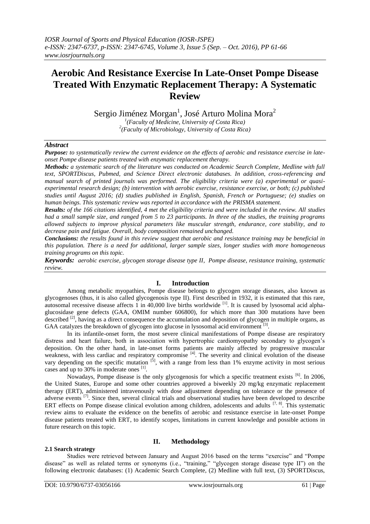# **Aerobic And Resistance Exercise In Late-Onset Pompe Disease Treated With Enzymatic Replacement Therapy: A Systematic Review**

Sergio Jiménez Morgan<sup>1</sup>, José Arturo Molina Mora<sup>2</sup>

*1 (Faculty of Medicine, University of Costa Rica) 2 (Faculty of Microbiology, University of Costa Rica)*

## *Abstract*

*Purpose: to systematically review the current evidence on the effects of aerobic and resistance exercise in lateonset Pompe disease patients treated with enzymatic replacement therapy.*

*Methods: a systematic search of the literature was conducted on Academic Search Complete, Medline with full text, SPORTDiscus, Pubmed, and Science Direct electronic databases. In addition, cross-referencing and manual search of printed journals was performed. The eligibility criteria were (a) experimental or quasiexperimental research design; (b) intervention with aerobic exercise, resistance exercise, or both; (c) published studies until August 2016; (d) studies published in English, Spanish, French or Portuguese; (e) studies on human beings. This systematic review was reported in accordance with the PRISMA statement.*

*Results: of the 166 citations identified, 4 met the eligibility criteria and were included in the review. All studies had a small sample size, and ranged from 5 to 23 participants. In three of the studies, the training programs allowed subjects to improve physical parameters like muscular strength, endurance, core stability, and to decrease pain and fatigue. Overall, body composition remained unchanged.* 

*Conclusions: the results found in this review suggest that aerobic and resistance training may be beneficial in this population. There is a need for additional, larger sample sizes, longer studies with more homogeneous training programs on this topic.*

*Keywords: aerobic exercise, glycogen storage disease type II, Pompe disease, resistance training, systematic review.*

# **I. Introduction**

Among metabolic myopathies, Pompe disease belongs to glycogen storage diseases, also known as glycogenoses (thus, it is also called glycogenosis type II). First described in 1932, it is estimated that this rare, autosomal recessive disease affects  $1$  in  $40,000$  live births worldwide <sup>[1]</sup>. It is caused by lysosomal acid alphaglucosidase gene defects (GAA, OMIM number 606800), for which more than 300 mutations have been described <sup>[2]</sup>, having as a direct consequence the accumulation and deposition of glycogen in multiple organs, as GAA catalyzes the breakdown of glycogen into glucose in lysosomal acid environment  $^{[3]}$ .

In its infantile-onset form, the most severe clinical manifestations of Pompe disease are respiratory distress and heart failure, both in association with hypertrophic cardiomyopathy secondary to glycogen's deposition. On the other hand, in late-onset forms patients are mainly affected by progressive muscular weakness, with less cardiac and respiratory compromise [4]. The severity and clinical evolution of the disease vary depending on the specific mutation  $^{[5]}$ , with a range from less than 1% enzyme activity in most serious cases and up to 30% in moderate ones [1].

Nowadays, Pompe disease is the only glycogenosis for which a specific treatment exists <sup>[6]</sup>. In 2006, the United States, Europe and some other countries approved a biweekly 20 mg/kg enzymatic replacement therapy (ERT), administered intravenously with dose adjustment depending on tolerance or the presence of adverse events [7]. Since then, several clinical trials and observational studies have been developed to describe ERT effects on Pompe disease clinical evolution among children, adolescents and adults [7, 8]. This systematic review aims to evaluate the evidence on the benefits of aerobic and resistance exercise in late-onset Pompe disease patients treated with ERT, to identify scopes, limitations in current knowledge and possible actions in future research on this topic.

### **2.1 Search strategy**

## **II. Methodology**

Studies were retrieved between January and August 2016 based on the terms "exercise" and "Pompe disease" as well as related terms or synonyms (i.e., "training," "glycogen storage disease type II") on the following electronic databases: (1) Academic Search Complete, (2) Medline with full text, (3) SPORTDiscus,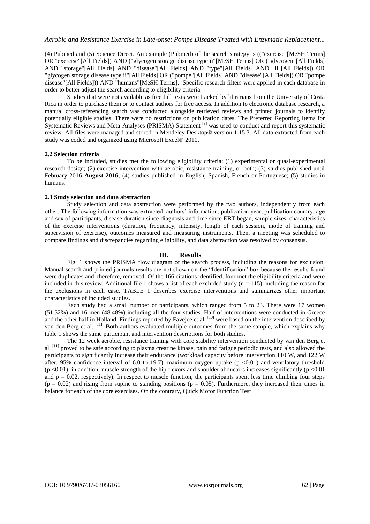(4) Pubmed and (5) Science Direct. An example (Pubmed) of the search strategy is (("exercise"[MeSH Terms] OR "exercise"[All Fields]) AND ("glycogen storage disease type ii"[MeSH Terms] OR ("glycogen"[All Fields] AND "storage"[All Fields] AND "disease"[All Fields] AND "type"[All Fields] AND "ii"[All Fields]) OR "glycogen storage disease type ii"[All Fields] OR ("pompe"[All Fields] AND "disease"[All Fields]) OR "pompe disease"[All Fields])) AND "humans"[MeSH Terms]. Specific research filters were applied in each database in order to better adjust the search according to eligibility criteria.

Studies that were not available as free full texts were tracked by librarians from the University of Costa Rica in order to purchase them or to contact authors for free access. In addition to electronic database research, a manual cross-referencing search was conducted alongside retrieved reviews and printed journals to identify potentially eligible studies. There were no restrictions on publication dates. The Preferred Reporting Items for Systematic Reviews and Meta-Analyses (PRISMA) Statement<sup>[9]</sup> was used to conduct and report this systematic review. All files were managed and stored in Mendeley Desktop® version 1.15.3. All data extracted from each study was coded and organized using Microsoft Excel® 2010.

### **2.2 Selection criteria**

To be included, studies met the following eligibility criteria: (1) experimental or quasi-experimental research design; (2) exercise intervention with aerobic, resistance training, or both; (3) studies published until February 2016 **August 2016**; (4) studies published in English, Spanish, French or Portuguese; (5) studies in humans.

#### **2.3 Study selection and data abstraction**

Study selection and data abstraction were performed by the two authors, independently from each other. The following information was extracted: authors' information, publication year, publication country, age and sex of participants, disease duration since diagnosis and time since ERT began, sample sizes, characteristics of the exercise interventions (duration, frequency, intensity, length of each session, mode of training and supervision of exercise), outcomes measured and measuring instruments. Then, a meeting was scheduled to compare findings and discrepancies regarding eligibility, and data abstraction was resolved by consensus.

## **III. Results**

Fig. 1 shows the PRISMA flow diagram of the search process, including the reasons for exclusion. Manual search and printed journals results are not shown on the "Identification" box because the results found were duplicates and, therefore, removed. Of the 166 citations identified, four met the eligibility criteria and were included in this review. Additional file 1 shows a list of each excluded study  $(n = 115)$ , including the reason for the exclusions in each case. TABLE 1 describes exercise interventions and summarizes other important characteristics of included studies.

Each study had a small number of participants, which ranged from 5 to 23. There were 17 women (51.52%) and 16 men (48.48%) including all the four studies. Half of interventions were conducted in Greece and the other half in Holland. Findings reported by Favejee et al. <sup>[10]</sup> were based on the intervention described by van den Berg et al. <sup>[11]</sup>. Both authors evaluated multiple outcomes from the same sample, which explains why table 1 shows the same participant and intervention descriptions for both studies.

The 12 week aerobic, resistance training with core stability intervention conducted by van den Berg et al. <sup>[11]</sup> proved to be safe according to plasma creatine kinase, pain and fatigue periodic tests, and also allowed the participants to significantly increase their endurance (workload capacity before intervention 110 W, and 122 W after, 95% confidence interval of 6.0 to 19.7), maximum oxygen uptake  $(p \lt 0.01)$  and ventilatory threshold  $(p \le 0.01)$ ; in addition, muscle strength of the hip flexors and shoulder abductors increases significantly  $(p \le 0.01)$ and  $p = 0.02$ , respectively). In respect to muscle function, the participants spent less time climbing four steps  $(p = 0.02)$  and rising from supine to standing positions  $(p = 0.05)$ . Furthermore, they increased their times in balance for each of the core exercises. On the contrary, Quick Motor Function Test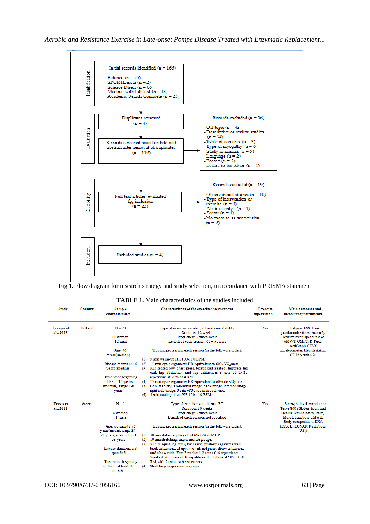

**Fig 1.** Flow diagram for research strategy and study selection, in accordance with PRISMA statement

| <b>TABLE 1.</b> Main characteristics of the studies included |  |  |  |  |
|--------------------------------------------------------------|--|--|--|--|
|--------------------------------------------------------------|--|--|--|--|

| <b>Study</b>                   | Country | Sample<br>characteristics                                                                                                                                                                |                          | <b>Characteristics of the exercise interventions</b>                                                                                                                                                                                                                                                                                                                                                                                                                                                                                     | Exercise<br>supervision | Main outcomes and<br>measuring instruments                                                                                     |
|--------------------------------|---------|------------------------------------------------------------------------------------------------------------------------------------------------------------------------------------------|--------------------------|------------------------------------------------------------------------------------------------------------------------------------------------------------------------------------------------------------------------------------------------------------------------------------------------------------------------------------------------------------------------------------------------------------------------------------------------------------------------------------------------------------------------------------------|-------------------------|--------------------------------------------------------------------------------------------------------------------------------|
| <b>Favejee et</b><br>al., 2015 | Holland | $N = 23$<br>11 women.<br>$12$ men                                                                                                                                                        |                          | Type of exercise: aerobic, RT and core stability<br>Duration: 12 weeks<br>Frequency: 3 times/week<br>Length of each session: 60 - 90 min                                                                                                                                                                                                                                                                                                                                                                                                 | Yes                     | Fatigue: FSS; Pain:<br>questionnaire from the study.<br>Activity level: speed test of<br>6MWT, QMFT, R-PAct,<br>ActiGraph GT3X |
|                                |         | Age: 46<br>years(median)                                                                                                                                                                 | (1)                      | Training program in each session (in the following order):<br>5 min warm-up HR 100-110 BPM.                                                                                                                                                                                                                                                                                                                                                                                                                                              |                         | accelerometer. Health status:<br>SF-36 version 2.                                                                              |
|                                |         | Disease duration: 16<br>vears (median)                                                                                                                                                   | (2)                      | 15 min cycle ergometer HR equivalent to 60% VO2max.<br>(3) RT: seated row, chest press, biceps curl (seated), leg press, leg<br>curl, hip abduction and hip adduction. 3 sets of 15-20                                                                                                                                                                                                                                                                                                                                                   |                         |                                                                                                                                |
|                                |         | Time since beginning<br>of ERT: 3.1 years<br>(median), range 1-6<br>years                                                                                                                |                          | repetitions at 70% of 4 RM.<br>$(4)$ 15 min cycle ergometer HR equivalent to 60% de VO <sub>2</sub> max.<br>(5) Core stability: abdominal bridge, back bridge, left side bridge,<br>right side bridge. 3 sets of 30 seconds each one.<br>(6) 5 min cooling-down HR 100-110 BPM.                                                                                                                                                                                                                                                          |                         |                                                                                                                                |
| <b>Terzis</b> et<br>al., 2011  | Greece  | $N = 5$<br>4 women.                                                                                                                                                                      |                          | Type of exercise: aerobic and RT<br>Duration: 20 weeks<br>Frequency: 3 times/week                                                                                                                                                                                                                                                                                                                                                                                                                                                        | Yes                     | Strength: load transductor<br>Tesys 800 (Globus Sport and<br>Health Technologies, Italy).                                      |
|                                |         | 1 man<br>Age: women 48.75<br>years(mean), range 39-<br>71 years; male subject<br>39 years<br>Disease duration: not<br>specified<br>Time since beginning<br>of ERT: at least 18<br>months | (1)<br>(2)<br>(3)<br>(4) | Length of each session: not specified<br>Training program in each session (in the following order):<br>30 min stationary bicycle at 65-75% of MHR.<br>10 min stretching, major muscle groups.<br>RT: 1/4 squat, leg curls, knee raise, push-ups against a wall,<br>back extensions, sit ups, 1/4 overhead press, elbow extensions<br>and elbow curls. First 3 weeks: 1-2 sets of 10 repetitions;<br>Weeks 4-20: 3 sets of 10 repetitions. Each time at 50% of 10<br>RM, with 2 min rest between sets.<br>Stretching major muscle groups. |                         | Muscle function: 6MWT.<br>Body composition: DXA<br>(DPX-L, LUNAR Radiation,<br>U.S.                                            |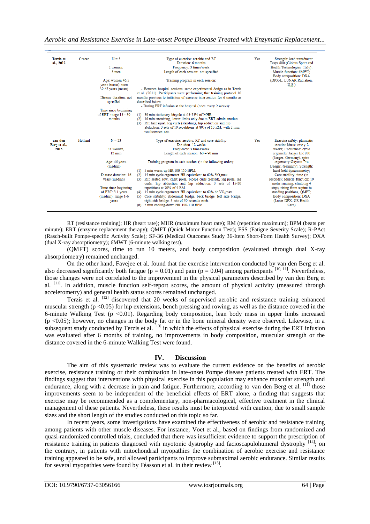*Aerobic and Resistance Exercise in Late-onset Pompe Disease Treated with Enzymatic Replacement...*

| <b>Terzis</b> et        | Greece  | $N = 5$                                                   | Type of exercise: aerobic and RT                                                                                                            | Yes | Strength: load transductor                                 |
|-------------------------|---------|-----------------------------------------------------------|---------------------------------------------------------------------------------------------------------------------------------------------|-----|------------------------------------------------------------|
| al., 2012               |         |                                                           | Duration: 6 months                                                                                                                          |     | Tesys 800 (Globus Sport and                                |
|                         |         | 2 women,                                                  | Frequency: 3 times/week                                                                                                                     |     | Health Technologies, Italy);                               |
|                         |         | 3 men                                                     | Length of each session: not specified                                                                                                       |     | Muscle function: 6MWT:                                     |
|                         |         |                                                           |                                                                                                                                             |     | Body composition: DXA                                      |
|                         |         | Age: women 46.5<br>years (mean); men                      | Training program in each session:                                                                                                           |     | (DPX-L. LUNAR Radiation.<br>U.S.                           |
|                         |         | 39.67 years (mean)                                        | - Between hospital sessions: same experimental design as in Terzis<br>et al. (2011). Participants were performing that training protocol 10 |     |                                                            |
|                         |         | Disease duration: not<br>specified                        | months previous to initiation of exercise intervention for 6 months as<br>described below.                                                  |     |                                                            |
|                         |         |                                                           | - During ERT infusion at the hospital (once every 2 weeks):                                                                                 |     |                                                            |
|                         |         | Time since beginning<br>of ERT: range $15 - 30$<br>months | 30 min stationary bicycle at 65-75% of MHR.<br>(1)<br>10 min stretching, lower limbs only due to ERT administration.                        |     |                                                            |
|                         |         |                                                           | (2)<br>(3) RT: half squat, leg curls (standing), hip adduction and hip                                                                      |     |                                                            |
|                         |         |                                                           | abduction. 3 sets of 10 repetitions at 80% of 10 RM, with 2 min                                                                             |     |                                                            |
|                         |         |                                                           | rest between sets                                                                                                                           |     |                                                            |
| van den<br>Berg et al., | Holland | $N = 23$                                                  | Type of exercise: aerobic, RT and core stability<br>Duration: 12 weeks                                                                      | Yes | Exercise safety: plasmatic<br>creatine kinase every 2      |
| 2015                    |         | 11 women.                                                 | Frequency: 3 times/week                                                                                                                     |     | weeks; Endurance: cycle                                    |
|                         |         | $12$ men                                                  | Length of each session: $60 - 90$ min                                                                                                       |     | ergometer Jaeger ER 800<br>(Jaeger, Germany), spiro-       |
|                         |         | Age: 46 years<br>(median)                                 | Training program in each session (in the following order):                                                                                  |     | ergometry Oxycon Pro<br>(Jaeger, Germany); Strength:       |
|                         |         |                                                           | (1) 5 min warm-up HR 100-110 BPM.                                                                                                           |     | hand-held dynamometry;                                     |
|                         |         | Disease duration: 16                                      | (2) 15 min cycle ergometer HR equivalent to $60\%$ VO <sub>2</sub> max.                                                                     |     | Core stability: time (in                                   |
|                         |         | years (median)                                            | (3) RT: seated row, chest press, biceps curls (seated), leg press, leg<br>curls, hip abduction and hip adduction. 3 sets of 15-20           |     | seconds): Muscle function: 10<br>meter running, climbing 4 |
|                         |         | Time since beginning                                      | repetitions at 70% of 4 RM.                                                                                                                 |     | steps, rising from supine to                               |
|                         |         | of ERT: 3.1 years                                         | (4) 15 min cycle ergometer HR equivalent to 60% de $VO2max$ .                                                                               |     | standing positions, QMFT;                                  |
|                         |         | (median), range 1-6                                       | Core stability: abdominal bridge, back bridge, left side bridge,                                                                            |     | Body composition: DXA                                      |
|                         |         | years                                                     | right side bridge. 3 sets of 30 seconds each.<br>(6) 5 min cooling-down HR 100-110 BPM.                                                     |     | (Lunar DPX, GE Health<br>Care)                             |
|                         |         |                                                           |                                                                                                                                             |     |                                                            |

RT (resistance training); HR (heart rate); MHR (maximum heart rate); RM (repetition maximum); BPM (beats per minute); ERT (enzyme replacement therapy); QMFT (Quick Motor Function Test); FSS (Fatigue Severity Scale); R-PAct (Rasch-built Pompe-specific Activity Scale); SF-36 (Medical Outcomes Study 36-Item Short-Form Health Survey); DXA (dual X-ray absorptiometry); 6MWT (6-minute walking test).

(QMFT) scores, time to run 10 meters, and body composition (evaluated through dual X-ray absorptiometry) remained unchanged.

On the other hand, Favejee et al. found that the exercise intervention conducted by van den Berg et al. also decreased significantly both fatigue ( $p = 0.01$ ) and pain ( $p = 0.04$ ) among participants <sup>[10, 11]</sup>. Nevertheless, those changes were not correlated to the improvement in the physical parameters described by van den Berg et al. <sup>[11]</sup>. In addition, muscle function self-report scores, the amount of physical activity (measured through accelerometry) and general health status scores remained unchanged.

Terzis et al. <sup>[12]</sup> discovered that 20 weeks of supervised aerobic and resistance training enhanced muscular strength ( $p < 0.05$ ) for hip extensions, bench pressing and rowing, as well as the distance covered in the 6-minute Walking Test ( $p < 0.01$ ). Regarding body composition, lean body mass in upper limbs increased  $(p \le 0.05)$ ; however, no changes in the body fat or in the bone mineral density were observed. Likewise, in a subsequent study conducted by Terzis et al. [13] in which the effects of physical exercise during the ERT infusion was evaluated after 6 months of training, no improvements in body composition, muscular strength or the distance covered in the 6-minute Walking Test were found.

### **IV. Discussion**

The aim of this systematic review was to evaluate the current evidence on the benefits of aerobic exercise, resistance training or their combination in late-onset Pompe disease patients treated with ERT. The findings suggest that interventions with physical exercise in this population may enhance muscular strength and endurance, along with a decrease in pain and fatigue. Furthermore, according to van den Berg et al. [11] those improvements seem to be independent of the beneficial effects of ERT alone, a finding that suggests that exercise may be recommended as a complementary, non-pharmacological, effective treatment in the clinical management of these patients. Nevertheless, these results must be interpreted with caution, due to small sample sizes and the short length of the studies conducted on this topic so far.

In recent years, some investigations have examined the effectiveness of aerobic and resistance training among patients with other muscle diseases. For instance, Voet et al., based on findings from randomized and quasi-randomized controlled trials, concluded that there was insufficient evidence to support the prescription of resistance training in patients diagnosed with myotonic dystrophy and facioscapulohumeral dystrophy [14]; on the contrary, in patients with mitochondrial myopathies the combination of aerobic exercise and resistance training appeared to be safe, and allowed participants to improve submaximal aerobic endurance. Similar results for several myopathies were found by Féasson et al. in their review [15].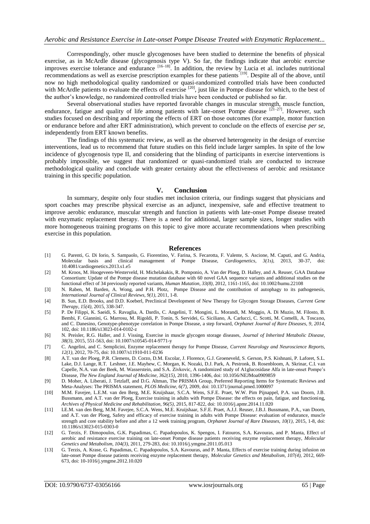Correspondingly, other muscle glycogenoses have been studied to determine the benefits of physical exercise, as in McArdle disease (glycogenosis type V). So far, the findings indicate that aerobic exercise improves exercise tolerance and endurance <sup>[16–18]</sup>. In addition, the review by Lucia et al. includes nutritional recommendations as well as exercise prescription examples for these patients <sup>[19]</sup>. Despite all of the above, until now no high methodological quality randomized or quasi-randomized controlled trials have been conducted with McArdle patients to evaluate the effects of exercise <sup>[20]</sup>, just like in Pompe disease for which, to the best of the author's knowledge, no randomized controlled trials have been conducted or published so far.

Several observational studies have reported favorable changes in muscular strength, muscle function, endurance, fatigue and quality of life among patients with late-onset Pompe disease  $[21-27]$ . However, such studies focused on describing and reporting the effects of ERT on those outcomes (for example, motor function or endurance before and after ERT administration), which prevent to conclude on the effects of exercise *per se*, independently from ERT known benefits.

The findings of this systematic review, as well as the observed heterogeneity in the design of exercise interventions, lead us to recommend that future studies on this field include larger samples. In spite of the low incidence of glycogenosis type II, and considering that the blinding of participants in exercise interventions is probably impossible, we suggest that randomized or quasi-randomized trials are conducted to increase methodological quality and conclude with greater certainty about the effectiveness of aerobic and resistance training in this specific population.

#### **V. Conclusion**

In summary, despite only four studies met inclusion criteria, our findings suggest that physicians and sport coaches may prescribe physical exercise as an adjunct, inexpensive, safe and effective treatment to improve aerobic endurance, muscular strength and function in patients with late-onset Pompe disease treated with enzymatic replacement therapy. There is a need for additional, larger sample sizes, longer studies with more homogeneous training programs on this topic to give more accurate recommendations when prescribing exercise in this population.

#### **References**

- [1] G. Parenti, G. Di Iorio, S. Sampaolo, G. Fiorentino, V. Farina, S. Fecarotta, F. Valente, S. Ascione, M. Caputi, and G. Andria, Molecular basis and clinical management of Pompe Disease, *Cardiogenetics*,  $3(1s)$ , 2013, management of Pompe Disease, *Cardiogenetics*,  $3(1s)$ , 2013, 30-37, doi: 10.4081/cardiogenetics.2013.s1.e5
- [2] M. Kroos, M. Hoogeveen-Westerveld, H. Michelakakis, R. Pomponio, A. Van der Ploeg, D. Halley, and A. Reuser, GAA Database Consortium: Update of the Pompe disease mutation database with 60 novel GAA sequence variants and additional studies on the functional effect of 34 previously reported variants, *Human Mutation, 33(8)*, 2012, 1161-1165, doi: 10.1002/humu.22108
- [3] N. Raben, M. Barden, A. Wong, and P.H. Plotz, Pompe Disease and the contribution of autophagy to its pathogenesis, *International Journal of Clinical Reviews, 9(1)*, 2011, 1-8.
- [4] B. Sun, E.D. Brooks, and D.D. Koeberl, Preclinical Development of New Therapy for Glycogen Storage Diseases, *Current Gene Therapy, 15(4),* 2015, 338-347.
- [5] P. De Filippi, K. Saeidi, S. Ravaglia, A. Dardis, C. Angelini, T. Mongini, L. Morandi, M. Moggio, A. Di Muzio, M. Filosto, B. Bembi, F. Giannini, G. Marrosu, M. Rigoldi, P. Tonin, S. Servidei, G. Siciliano, A. Carlucci, C. Scotti, M. Comelli, A. Toscano, and C. Danesino, Genotype-phenotype correlation in Pompe Disease, a step forward, *Orphanet Journal of Rare Diseases, 9, 2014,*  102, doi: 10.1186/s13023-014-0102-z
- [6] N. Preisler, R.G. Haller, and J. Vissing, Exercise in muscle glycogen storage diseases, *Journal of Inherited Metabolic Disease, 38(3),* 2015, 551-563, doi: 10.1007/s10545-014-9771-y
- [7] C. Angelini, and C. Semplicini, Enzyme replacement therapy for Pompe Disease, *Current Neurology and Neuroscience Reports, 12(1),* 2012, 70-75, doi: 10.1007/s11910-011-0236
- [8] A.T. van der Ploeg, P.R. Clemens, D. Corzo, D.M. Escolar, J. Florence, G.J. Groeneveld, S. Gerson, P.S. Kishnani, P. Laforet, S.L. Lake, D.J. Lange, R.T. Leshner, J.E. Mayhew, C. Morgan, K. Nozaki, D.J. Park, A. Pestronk, B. Rosenbloom, A. Skrinar, C.I. van Capelle, N.A. van der Beek, M. Wasserstein, and S.A. Zivkovic, A randomized study of A1glucosidase Alfa in late-onset Pompe's Disease, *The New England Journal of Medicine, 362(15),* 2010, 1396-1406, doi: 10.1056/NEJMoa0909859
- [9] D. Moher, A. Liberati, J. Tetzlaff, and D.G. Altman, The PRISMA Group, Preferred Reporting Items for Systematic Reviews and Meta-Analyses: The PRISMA statement, *PLOS Medicine, 6(7),* 2009, doi: 10.1371/journal.pmed.1000097
- [10] M.M. Favejee, L.E.M. van den Berg, M.E. Kruijshaar, S.C.A. Wens, S.F.E. Praet, W.W. Pim Pijnappel, P.A. van Doorn, J.B. Bussmann, and A.T. van der Ploeg, Exercise training in adults with Pompe Disease: the effects on pain, fatigue, and functioning, *Archives of Physical Medicine and Rehabilitation, 96(5),* 2015, 817-822, doi: 10.1016/j.apmr.2014.11.020
- [11] LE.M. van den Berg, M.M. Favejee, S.C.A. Wens, M.E. Kruijshaar, S.F.E. Praet, A.J.J. Reuser, J.B.J. Bussmann, P.A., van Doorn, and A.T. van der Ploeg, Safety and efficacy of exercise training in adults with Pompe Disease: evaluation of endurance, muscle strength and core stability before and after a 12 week training program, *Orphanet Journal of Rare Diseases, 10(1),* 2015, 1-8, doi: 10.1186/s13023-015-0303-0
- [12] G. Terzis, F. Dimopoulos, G.K. Papadimas, C. Papadopoulos, K. Spengos, I. Fatouros, S.A. Kavouras, and P. Manta, Effect of aerobic and resistance exercise training on late-onset Pompe disease patients receiving enzyme replacement therapy, *Molecular Genetics and Metabolism, 104(3),* 2011, 279-283, doi: 10.1016/j.ymgme.2011.05.013
- [13] G. Terzis, A. Krase, G. Papadimas, C. Papadopoulos, S.A. Kavouras, and P. Manta, Effects of exercise training during infusion on late-onset Pompe disease patients receiving enzyme replacement therapy, *Molecular Genetics and Metabolism, 107(4),* 2012, 669- 673, doi: 10-1016/j.ymgme.2012.10.020